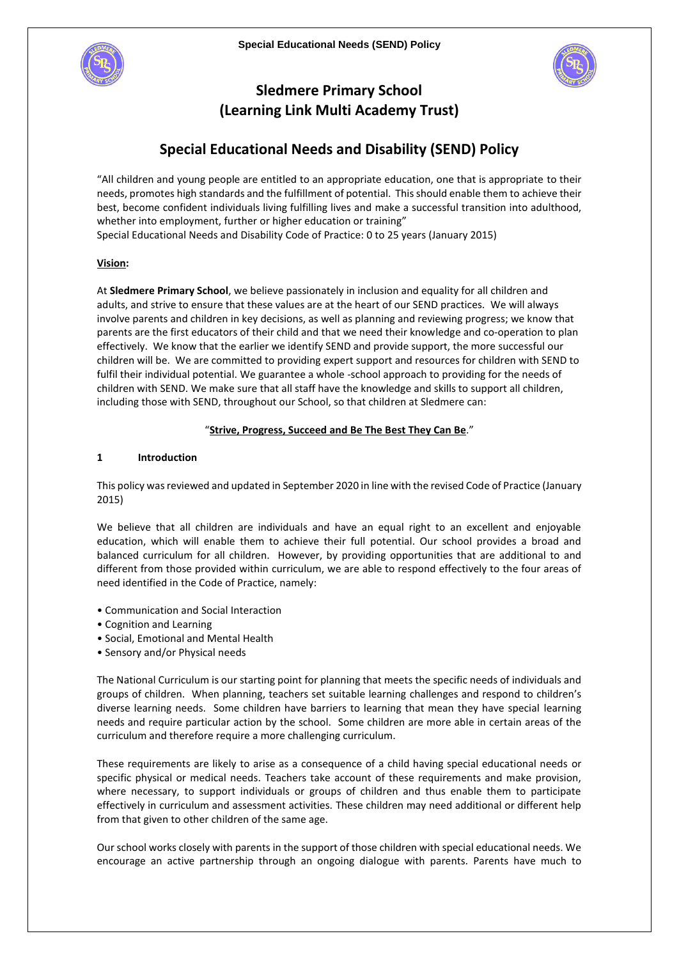



# **Sledmere Primary School (Learning Link Multi Academy Trust)**

# **Special Educational Needs and Disability (SEND) Policy**

"All children and young people are entitled to an appropriate education, one that is appropriate to their needs, promotes high standards and the fulfillment of potential. This should enable them to achieve their best, become confident individuals living fulfilling lives and make a successful transition into adulthood, whether into employment, further or higher education or training" Special Educational Needs and Disability Code of Practice: 0 to 25 years (January 2015)

## **Vision:**

At **Sledmere Primary School**, we believe passionately in inclusion and equality for all children and adults, and strive to ensure that these values are at the heart of our SEND practices. We will always involve parents and children in key decisions, as well as planning and reviewing progress; we know that parents are the first educators of their child and that we need their knowledge and co-operation to plan effectively. We know that the earlier we identify SEND and provide support, the more successful our children will be. We are committed to providing expert support and resources for children with SEND to fulfil their individual potential. We guarantee a whole -school approach to providing for the needs of children with SEND. We make sure that all staff have the knowledge and skills to support all children, including those with SEND, throughout our School, so that children at Sledmere can:

## "**Strive, Progress, Succeed and Be The Best They Can Be**."

## **1 Introduction**

This policy was reviewed and updated in September 2020 in line with the revised Code of Practice (January 2015)

We believe that all children are individuals and have an equal right to an excellent and enjoyable education, which will enable them to achieve their full potential. Our school provides a broad and balanced curriculum for all children. However, by providing opportunities that are additional to and different from those provided within curriculum, we are able to respond effectively to the four areas of need identified in the Code of Practice, namely:

- Communication and Social Interaction
- Cognition and Learning
- Social, Emotional and Mental Health
- Sensory and/or Physical needs

The National Curriculum is our starting point for planning that meets the specific needs of individuals and groups of children. When planning, teachers set suitable learning challenges and respond to children's diverse learning needs. Some children have barriers to learning that mean they have special learning needs and require particular action by the school. Some children are more able in certain areas of the curriculum and therefore require a more challenging curriculum.

These requirements are likely to arise as a consequence of a child having special educational needs or specific physical or medical needs. Teachers take account of these requirements and make provision, where necessary, to support individuals or groups of children and thus enable them to participate effectively in curriculum and assessment activities. These children may need additional or different help from that given to other children of the same age.

Our school works closely with parents in the support of those children with special educational needs. We encourage an active partnership through an ongoing dialogue with parents. Parents have much to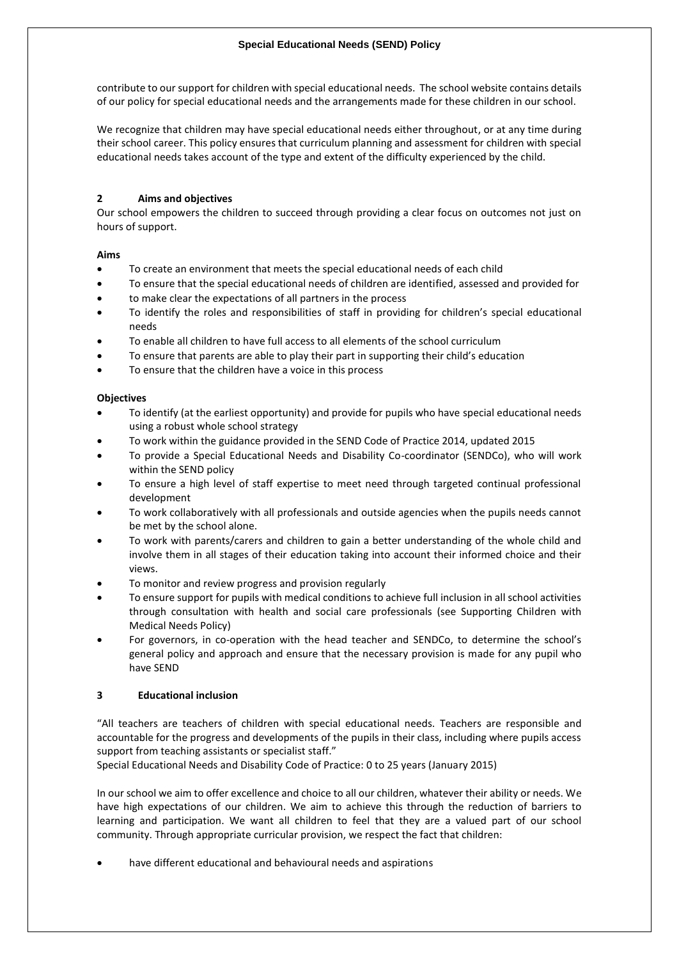contribute to our support for children with special educational needs. The school website contains details of our policy for special educational needs and the arrangements made for these children in our school.

We recognize that children may have special educational needs either throughout, or at any time during their school career. This policy ensures that curriculum planning and assessment for children with special educational needs takes account of the type and extent of the difficulty experienced by the child.

# **2 Aims and objectives**

Our school empowers the children to succeed through providing a clear focus on outcomes not just on hours of support.

# **Aims**

- To create an environment that meets the special educational needs of each child
- To ensure that the special educational needs of children are identified, assessed and provided for
- to make clear the expectations of all partners in the process
- To identify the roles and responsibilities of staff in providing for children's special educational needs
- To enable all children to have full access to all elements of the school curriculum
- To ensure that parents are able to play their part in supporting their child's education
- To ensure that the children have a voice in this process

# **Objectives**

- To identify (at the earliest opportunity) and provide for pupils who have special educational needs using a robust whole school strategy
- To work within the guidance provided in the SEND Code of Practice 2014, updated 2015
- To provide a Special Educational Needs and Disability Co-coordinator (SENDCo), who will work within the SEND policy
- To ensure a high level of staff expertise to meet need through targeted continual professional development
- To work collaboratively with all professionals and outside agencies when the pupils needs cannot be met by the school alone.
- To work with parents/carers and children to gain a better understanding of the whole child and involve them in all stages of their education taking into account their informed choice and their views.
- To monitor and review progress and provision regularly
- To ensure support for pupils with medical conditions to achieve full inclusion in all school activities through consultation with health and social care professionals (see Supporting Children with Medical Needs Policy)
- For governors, in co-operation with the head teacher and SENDCo, to determine the school's general policy and approach and ensure that the necessary provision is made for any pupil who have SEND

# **3 Educational inclusion**

"All teachers are teachers of children with special educational needs. Teachers are responsible and accountable for the progress and developments of the pupils in their class, including where pupils access support from teaching assistants or specialist staff."

Special Educational Needs and Disability Code of Practice: 0 to 25 years (January 2015)

In our school we aim to offer excellence and choice to all our children, whatever their ability or needs. We have high expectations of our children. We aim to achieve this through the reduction of barriers to learning and participation. We want all children to feel that they are a valued part of our school community. Through appropriate curricular provision, we respect the fact that children:

have different educational and behavioural needs and aspirations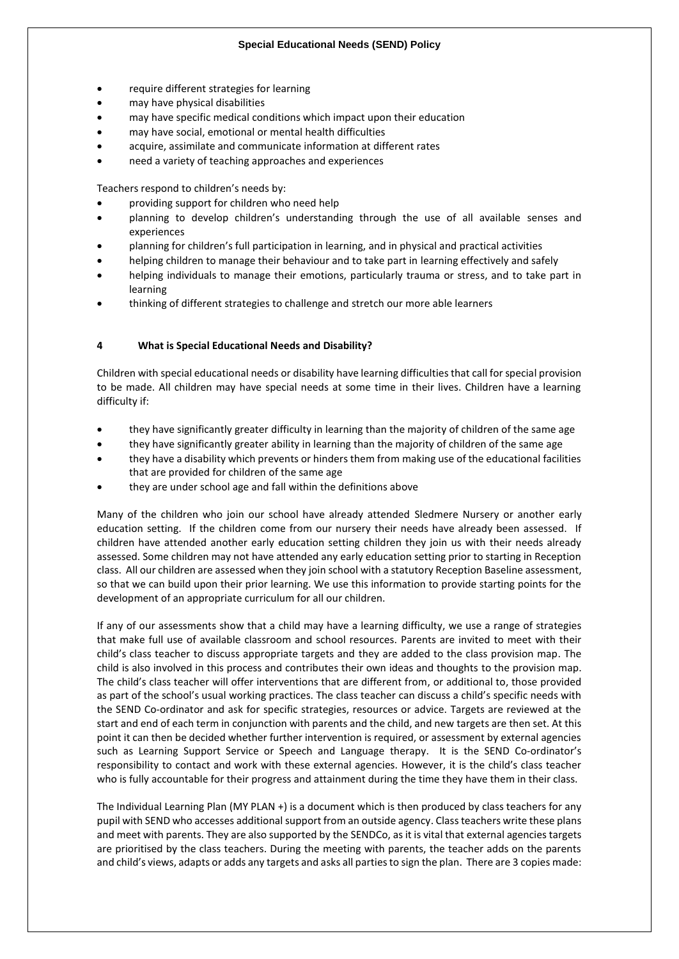- require different strategies for learning
- may have physical disabilities
- may have specific medical conditions which impact upon their education
- may have social, emotional or mental health difficulties
- acquire, assimilate and communicate information at different rates
- need a variety of teaching approaches and experiences

Teachers respond to children's needs by:

- providing support for children who need help
- planning to develop children's understanding through the use of all available senses and experiences
- planning for children's full participation in learning, and in physical and practical activities
- helping children to manage their behaviour and to take part in learning effectively and safely
- helping individuals to manage their emotions, particularly trauma or stress, and to take part in learning
- thinking of different strategies to challenge and stretch our more able learners

## **4 What is Special Educational Needs and Disability?**

Children with special educational needs or disability have learning difficulties that call for special provision to be made. All children may have special needs at some time in their lives. Children have a learning difficulty if:

- they have significantly greater difficulty in learning than the majority of children of the same age
- they have significantly greater ability in learning than the majority of children of the same age
- they have a disability which prevents or hinders them from making use of the educational facilities that are provided for children of the same age
- they are under school age and fall within the definitions above

Many of the children who join our school have already attended Sledmere Nursery or another early education setting. If the children come from our nursery their needs have already been assessed. If children have attended another early education setting children they join us with their needs already assessed. Some children may not have attended any early education setting prior to starting in Reception class. All our children are assessed when they join school with a statutory Reception Baseline assessment, so that we can build upon their prior learning. We use this information to provide starting points for the development of an appropriate curriculum for all our children.

If any of our assessments show that a child may have a learning difficulty, we use a range of strategies that make full use of available classroom and school resources. Parents are invited to meet with their child's class teacher to discuss appropriate targets and they are added to the class provision map. The child is also involved in this process and contributes their own ideas and thoughts to the provision map. The child's class teacher will offer interventions that are different from, or additional to, those provided as part of the school's usual working practices. The class teacher can discuss a child's specific needs with the SEND Co-ordinator and ask for specific strategies, resources or advice. Targets are reviewed at the start and end of each term in conjunction with parents and the child, and new targets are then set. At this point it can then be decided whether further intervention is required, or assessment by external agencies such as Learning Support Service or Speech and Language therapy. It is the SEND Co-ordinator's responsibility to contact and work with these external agencies. However, it is the child's class teacher who is fully accountable for their progress and attainment during the time they have them in their class.

The Individual Learning Plan (MY PLAN +) is a document which is then produced by class teachers for any pupil with SEND who accesses additional support from an outside agency. Class teachers write these plans and meet with parents. They are also supported by the SENDCo, as it is vital that external agencies targets are prioritised by the class teachers. During the meeting with parents, the teacher adds on the parents and child's views, adapts or adds any targets and asks all parties to sign the plan. There are 3 copies made: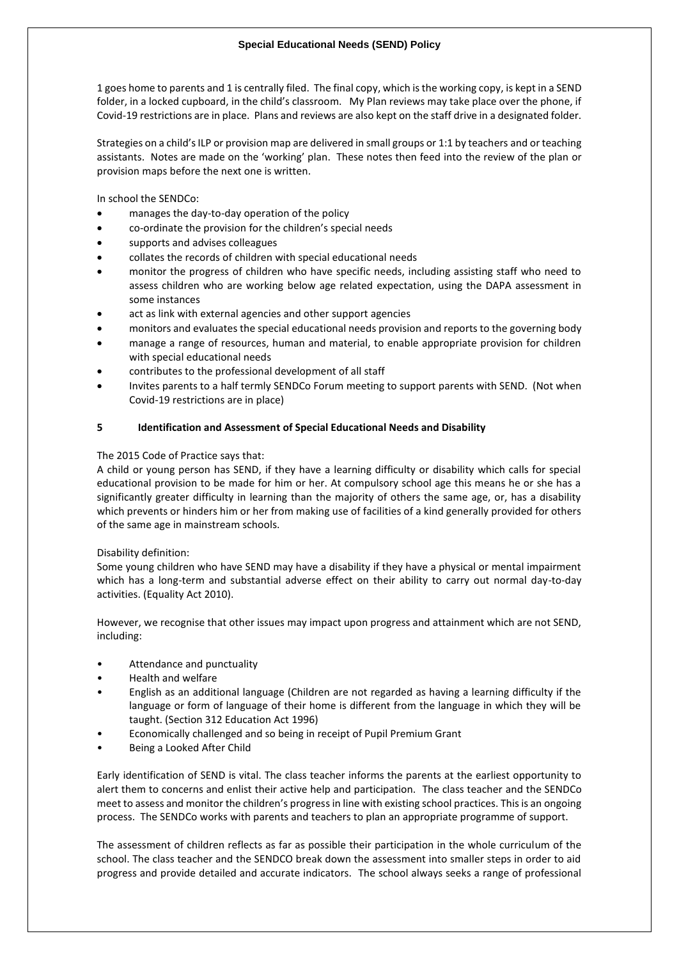1 goes home to parents and 1 is centrally filed. The final copy, which is the working copy, is kept in a SEND folder, in a locked cupboard, in the child's classroom. My Plan reviews may take place over the phone, if Covid-19 restrictions are in place. Plans and reviews are also kept on the staff drive in a designated folder.

Strategies on a child's ILP or provision map are delivered in small groups or 1:1 by teachers and or teaching assistants. Notes are made on the 'working' plan. These notes then feed into the review of the plan or provision maps before the next one is written.

In school the SENDCo:

- manages the day-to-day operation of the policy
- co-ordinate the provision for the children's special needs
- supports and advises colleagues
- collates the records of children with special educational needs
- monitor the progress of children who have specific needs, including assisting staff who need to assess children who are working below age related expectation, using the DAPA assessment in some instances
- act as link with external agencies and other support agencies
- monitors and evaluates the special educational needs provision and reports to the governing body
- manage a range of resources, human and material, to enable appropriate provision for children with special educational needs
- contributes to the professional development of all staff
- Invites parents to a half termly SENDCo Forum meeting to support parents with SEND. (Not when Covid-19 restrictions are in place)

#### **5 Identification and Assessment of Special Educational Needs and Disability**

The 2015 Code of Practice says that:

A child or young person has SEND, if they have a learning difficulty or disability which calls for special educational provision to be made for him or her. At compulsory school age this means he or she has a significantly greater difficulty in learning than the majority of others the same age, or, has a disability which prevents or hinders him or her from making use of facilities of a kind generally provided for others of the same age in mainstream schools.

#### Disability definition:

Some young children who have SEND may have a disability if they have a physical or mental impairment which has a long-term and substantial adverse effect on their ability to carry out normal day-to-day activities. (Equality Act 2010).

However, we recognise that other issues may impact upon progress and attainment which are not SEND, including:

- Attendance and punctuality
- Health and welfare
- English as an additional language (Children are not regarded as having a learning difficulty if the language or form of language of their home is different from the language in which they will be taught. (Section 312 Education Act 1996)
- Economically challenged and so being in receipt of Pupil Premium Grant
- Being a Looked After Child

Early identification of SEND is vital. The class teacher informs the parents at the earliest opportunity to alert them to concerns and enlist their active help and participation. The class teacher and the SENDCo meet to assess and monitor the children's progress in line with existing school practices. This is an ongoing process. The SENDCo works with parents and teachers to plan an appropriate programme of support.

The assessment of children reflects as far as possible their participation in the whole curriculum of the school. The class teacher and the SENDCO break down the assessment into smaller steps in order to aid progress and provide detailed and accurate indicators. The school always seeks a range of professional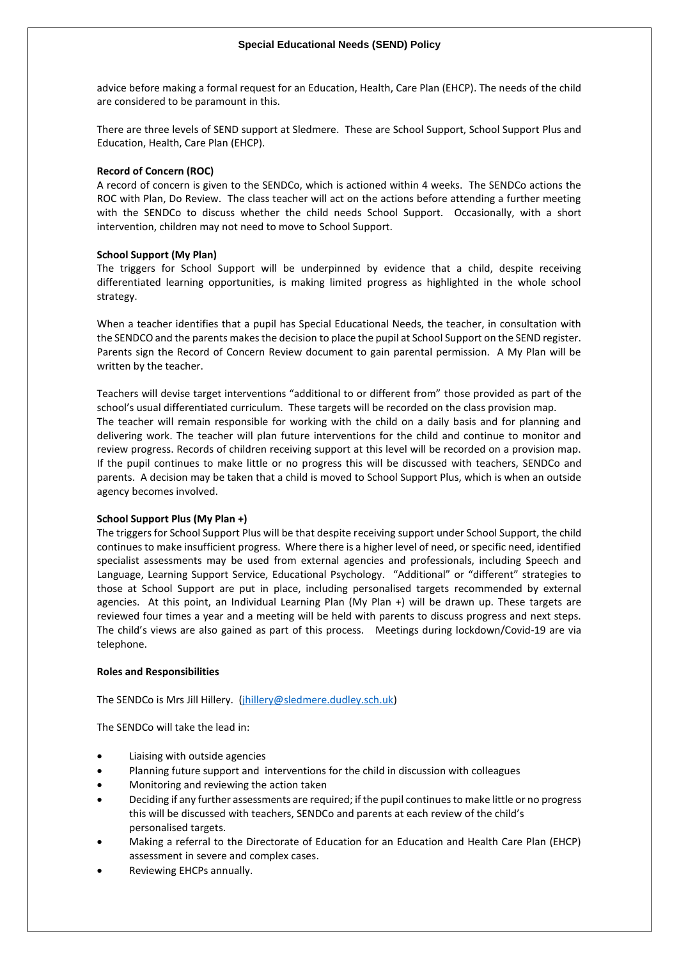advice before making a formal request for an Education, Health, Care Plan (EHCP). The needs of the child are considered to be paramount in this.

There are three levels of SEND support at Sledmere. These are School Support, School Support Plus and Education, Health, Care Plan (EHCP).

#### **Record of Concern (ROC)**

A record of concern is given to the SENDCo, which is actioned within 4 weeks. The SENDCo actions the ROC with Plan, Do Review. The class teacher will act on the actions before attending a further meeting with the SENDCo to discuss whether the child needs School Support. Occasionally, with a short intervention, children may not need to move to School Support.

#### **School Support (My Plan)**

The triggers for School Support will be underpinned by evidence that a child, despite receiving differentiated learning opportunities, is making limited progress as highlighted in the whole school strategy.

When a teacher identifies that a pupil has Special Educational Needs, the teacher, in consultation with the SENDCO and the parents makes the decision to place the pupil at School Support on the SEND register. Parents sign the Record of Concern Review document to gain parental permission. A My Plan will be written by the teacher.

Teachers will devise target interventions "additional to or different from" those provided as part of the school's usual differentiated curriculum. These targets will be recorded on the class provision map. The teacher will remain responsible for working with the child on a daily basis and for planning and delivering work. The teacher will plan future interventions for the child and continue to monitor and review progress. Records of children receiving support at this level will be recorded on a provision map. If the pupil continues to make little or no progress this will be discussed with teachers, SENDCo and parents. A decision may be taken that a child is moved to School Support Plus, which is when an outside agency becomes involved.

#### **School Support Plus (My Plan +)**

The triggers for School Support Plus will be that despite receiving support under School Support, the child continues to make insufficient progress. Where there is a higher level of need, or specific need, identified specialist assessments may be used from external agencies and professionals, including Speech and Language, Learning Support Service, Educational Psychology. "Additional" or "different" strategies to those at School Support are put in place, including personalised targets recommended by external agencies. At this point, an Individual Learning Plan (My Plan +) will be drawn up. These targets are reviewed four times a year and a meeting will be held with parents to discuss progress and next steps. The child's views are also gained as part of this process. Meetings during lockdown/Covid-19 are via telephone.

#### **Roles and Responsibilities**

The SENDCo is Mrs Jill Hillery. [\(jhillery@sledmere.dudley.sch.uk\)](mailto:jhillery@sledmere.dudley.sch.uk)

The SENDCo will take the lead in:

- Liaising with outside agencies
- Planning future support and interventions for the child in discussion with colleagues
- Monitoring and reviewing the action taken
- Deciding if any further assessments are required; if the pupil continues to make little or no progress this will be discussed with teachers, SENDCo and parents at each review of the child's personalised targets.
- Making a referral to the Directorate of Education for an Education and Health Care Plan (EHCP) assessment in severe and complex cases.
- Reviewing EHCPs annually.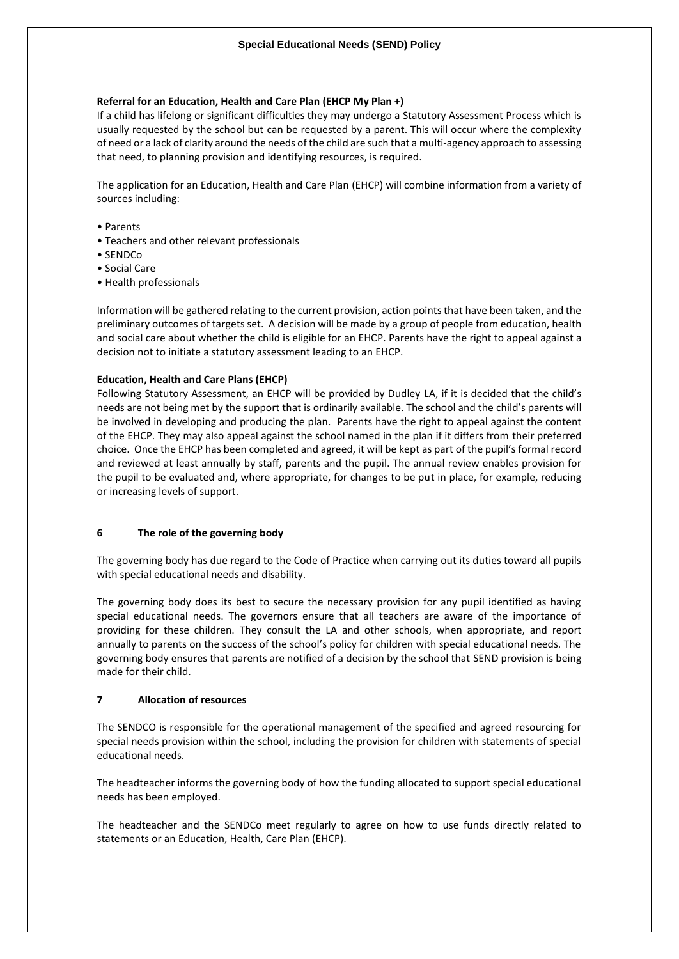#### **Referral for an Education, Health and Care Plan (EHCP My Plan +)**

If a child has lifelong or significant difficulties they may undergo a Statutory Assessment Process which is usually requested by the school but can be requested by a parent. This will occur where the complexity of need or a lack of clarity around the needs of the child are such that a multi-agency approach to assessing that need, to planning provision and identifying resources, is required.

The application for an Education, Health and Care Plan (EHCP) will combine information from a variety of sources including:

- Parents
- Teachers and other relevant professionals
- SENDCo
- Social Care
- Health professionals

Information will be gathered relating to the current provision, action points that have been taken, and the preliminary outcomes of targets set. A decision will be made by a group of people from education, health and social care about whether the child is eligible for an EHCP. Parents have the right to appeal against a decision not to initiate a statutory assessment leading to an EHCP.

#### **Education, Health and Care Plans (EHCP)**

Following Statutory Assessment, an EHCP will be provided by Dudley LA, if it is decided that the child's needs are not being met by the support that is ordinarily available. The school and the child's parents will be involved in developing and producing the plan. Parents have the right to appeal against the content of the EHCP. They may also appeal against the school named in the plan if it differs from their preferred choice. Once the EHCP has been completed and agreed, it will be kept as part of the pupil's formal record and reviewed at least annually by staff, parents and the pupil. The annual review enables provision for the pupil to be evaluated and, where appropriate, for changes to be put in place, for example, reducing or increasing levels of support.

#### **6 The role of the governing body**

The governing body has due regard to the Code of Practice when carrying out its duties toward all pupils with special educational needs and disability.

The governing body does its best to secure the necessary provision for any pupil identified as having special educational needs. The governors ensure that all teachers are aware of the importance of providing for these children. They consult the LA and other schools, when appropriate, and report annually to parents on the success of the school's policy for children with special educational needs. The governing body ensures that parents are notified of a decision by the school that SEND provision is being made for their child.

#### **7 Allocation of resources**

The SENDCO is responsible for the operational management of the specified and agreed resourcing for special needs provision within the school, including the provision for children with statements of special educational needs.

The headteacher informs the governing body of how the funding allocated to support special educational needs has been employed.

The headteacher and the SENDCo meet regularly to agree on how to use funds directly related to statements or an Education, Health, Care Plan (EHCP).